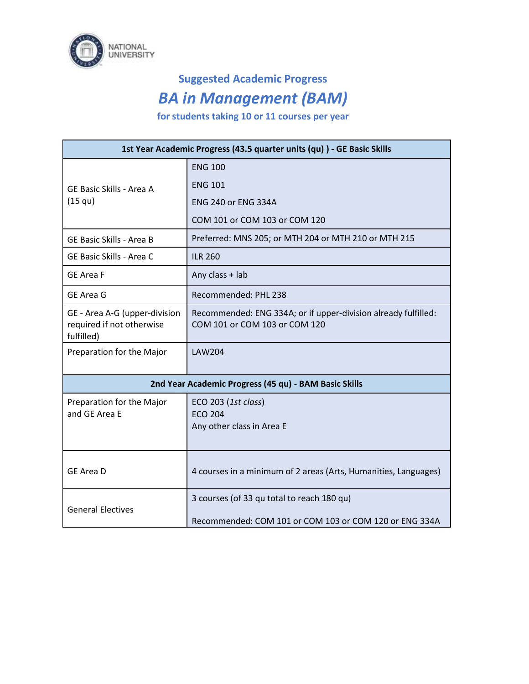

## **Suggested Academic Progress** *BA in Management (BAM)*

**for students taking 10 or 11 courses per year**

| 1st Year Academic Progress (43.5 quarter units (qu)) - GE Basic Skills   |                                                                                                      |
|--------------------------------------------------------------------------|------------------------------------------------------------------------------------------------------|
| GE Basic Skills - Area A<br>(15 qu)                                      | <b>ENG 100</b>                                                                                       |
|                                                                          | <b>ENG 101</b>                                                                                       |
|                                                                          | <b>ENG 240 or ENG 334A</b>                                                                           |
|                                                                          | COM 101 or COM 103 or COM 120                                                                        |
| <b>GE Basic Skills - Area B</b>                                          | Preferred: MNS 205; or MTH 204 or MTH 210 or MTH 215                                                 |
| GE Basic Skills - Area C                                                 | <b>ILR 260</b>                                                                                       |
| <b>GE Area F</b>                                                         | Any class + lab                                                                                      |
| GE Area G                                                                | Recommended: PHL 238                                                                                 |
| GE - Area A-G (upper-division<br>required if not otherwise<br>fulfilled) | Recommended: ENG 334A; or if upper-division already fulfilled:<br>COM 101 or COM 103 or COM 120      |
| Preparation for the Major                                                | <b>LAW204</b>                                                                                        |
| 2nd Year Academic Progress (45 qu) - BAM Basic Skills                    |                                                                                                      |
| Preparation for the Major<br>and GE Area E                               | ECO 203 (1st class)<br><b>ECO 204</b><br>Any other class in Area E                                   |
| <b>GE Area D</b>                                                         | 4 courses in a minimum of 2 areas (Arts, Humanities, Languages)                                      |
| <b>General Electives</b>                                                 | 3 courses (of 33 qu total to reach 180 qu)<br>Recommended: COM 101 or COM 103 or COM 120 or ENG 334A |